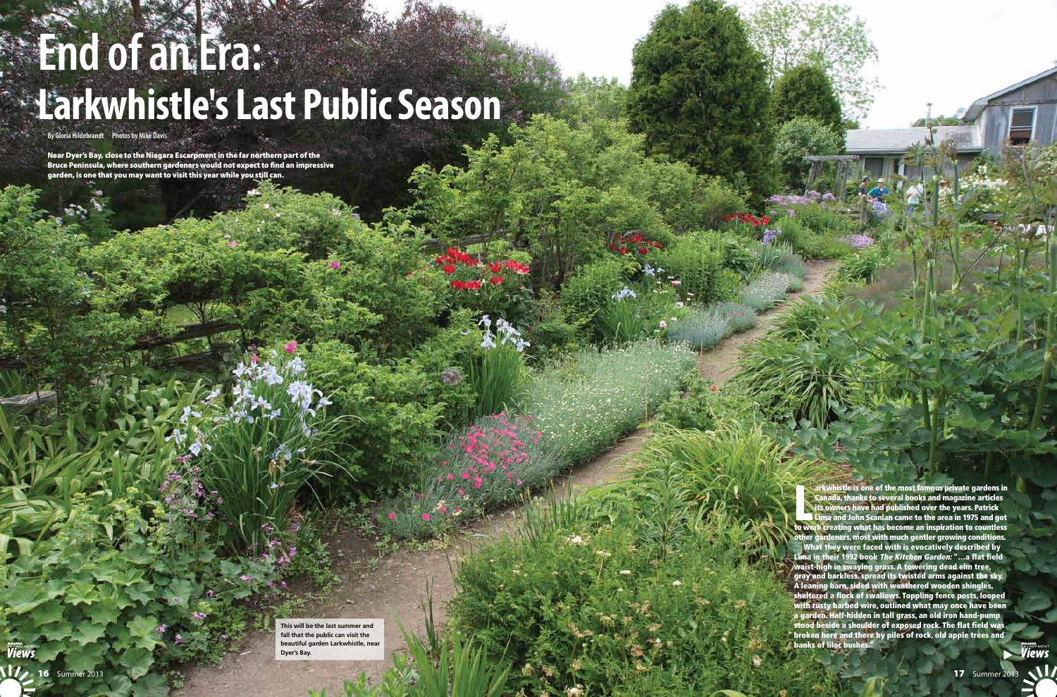**List of the We** arkwhistle is one of the most famous private gardens in Canada, thanks to several books and magazine articles its owners have had published over the years. Patrick Lima and John Scanlan came to the area in 1975 and got to work creating what has become an inspiration to countless other gardeners, most with much gentler growing conditions. What they were faced with is evocatively described by Lima in their 1992 book The Kitchen Garden: "…a flat field waist-high in swaying grass. A towering dead elm tree, gray and barkless, spread its twisted arms against the sky. A leaning barn, sided with weathered wooden shingles, sheltered a flock of swallows. Toppling fence posts, looped with rusty barbed wire, outlined what may once have been a garden. Half-hidden in tall grass, an old iron hand-pump stood beside a shoulder of exposed rock. The flat field was broken here and there by piles of rock, old apple trees and **banks of lilac bushes** ▶

# **End of an Era: Larkwhistle's Last Public Season**

**By Gloria Hildebrandt Photos by Mike Davis**

Near Dyer's Bay, close to the Niagara Escarpment in the far northern part of the Bruce Peninsula, where southern gardeners would not expect to find an impressive garden, is one that you may want to visit this year while you still can.

> **This will be the last summer and fall that the public can visit the beautiful garden Larkwhistle, near Dyer's Bay.**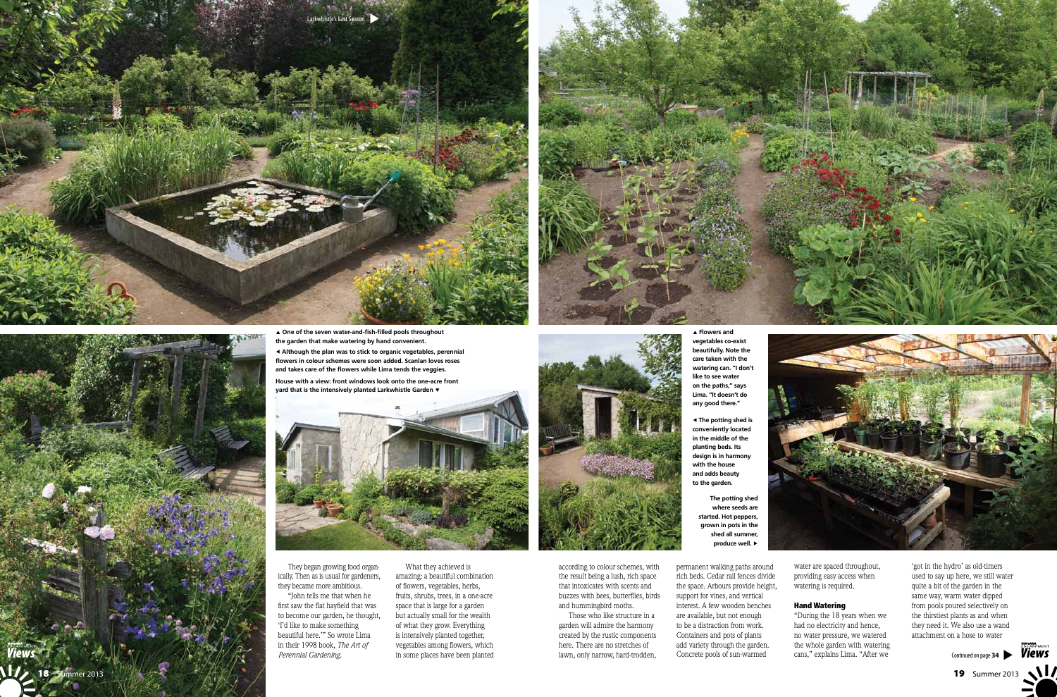They began growing food organically. Then as is usual for gardeners, they became more ambitious.

"John tells me that when he first saw the flat hayfield that was to become our garden, he thought, 'I'd like to make something beautiful here.'" So wrote Lima in their 1998 book, *The Art of Perennial Gardening.*

What they achieved is amazing: a beautiful combination of flowers, vegetables, herbs, fruits, shrubs, trees, in a one-acre space that is large for a garden but actually small for the wealth of what they grow. Everything is intensively planted together, vegetables among flowers, which in some places have been planted



according to colour schemes, with the result being a lush, rich space that intoxicates with scents and buzzes with bees, butterflies, birds and hummingbird moths.

Those who like structure in a garden will admire the harmony created by the rustic components here. There are no stretches of lawn, only narrow, hard-trodden,

permanent walking paths around rich beds. Cedar rail fences divide the space. Arbours provide height, support for vines, and vertical interest. A few wooden benches are available, but not enough to be a distraction from work. Containers and pots of plants add variety through the garden. Concrete pools of sun-warmed

water are spaced throughout, providing easy access when watering is required.

### Hand Watering

"During the 18 years when we had no electricity and hence, no water pressure, we watered the whole garden with watering cans," explains Lima. "After we

'got in the hydro' as old-timers used to say up here, we still water quite a bit of the garden in the same way, warm water dipped from pools poured selectively on the thirstiest plants as and when they need it. We also use a wand attachment on a hose to water

▲ **One of the seven water-and-fish-filled pools throughout the garden that make watering by hand convenient.** ◀ **Although the plan was to stick to organic vegetables, perennial flowers in colour schemes were soon added. Scanlan loves roses and takes care of the flowers while Lima tends the veggies.**

**House with a view: front windows look onto the one-acre front yard that is the intensively planted Larkwhistle Garden** ▼